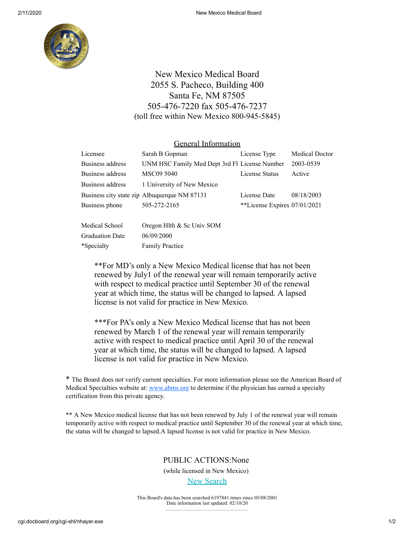

# New Mexico Medical Board 2055 S. Pacheco, Building 400 Santa Fe, NM 87505 505-476-7220 fax 505-476-7237 (toll free within New Mexico 800-945-5845)

#### General Information

| Licensee         | Sarah B Gopman                                | License Type                 | Medical Doctor |
|------------------|-----------------------------------------------|------------------------------|----------------|
| Business address | UNM HSC Family Med Dept 3rd Fl License Number |                              | 2003-0539      |
| Business address | MSC09 5040                                    | License Status               | Active         |
| Business address | 1 University of New Mexico                    |                              |                |
|                  | Business city state zip Albuquerque NM 87131  | License Date                 | 08/18/2003     |
| Business phone   | 505-272-2165                                  | **License Expires 07/01/2021 |                |
|                  |                                               |                              |                |

| Medical School         | Oregon Hlth & Sc Univ SOM |
|------------------------|---------------------------|
| <b>Graduation Date</b> | 06/09/2000                |
| *Specialty             | <b>Family Practice</b>    |

\*\*For MD's only a New Mexico Medical license that has not been renewed by July1 of the renewal year will remain temporarily active with respect to medical practice until September 30 of the renewal year at which time, the status will be changed to lapsed. A lapsed license is not valid for practice in New Mexico.

\*\*\*For PA's only a New Mexico Medical license that has not been renewed by March 1 of the renewal year will remain temporarily active with respect to medical practice until April 30 of the renewal year at which time, the status will be changed to lapsed. A lapsed license is not valid for practice in New Mexico.

\* The Board does not verify current specialties. For more information please see the American Board of Medical Specialties website at: [www.abms.org](http://www.abms.org/) to determine if the physician has earned a specialty certification from this private agency.

\*\* A New Mexico medical license that has not been renewed by July 1 of the renewal year will remain temporarily active with respect to medical practice until September 30 of the renewal year at which time, the status will be changed to lapsed.A lapsed license is not valid for practice in New Mexico.

### PUBLIC ACTIONS:None

(while licensed in New Mexico)

#### **[New Search](http://www.docboard.org/nm/)**

This Board's data has been searched 6197841 times since 05/08/2001 Date information last updated: 02/10/20